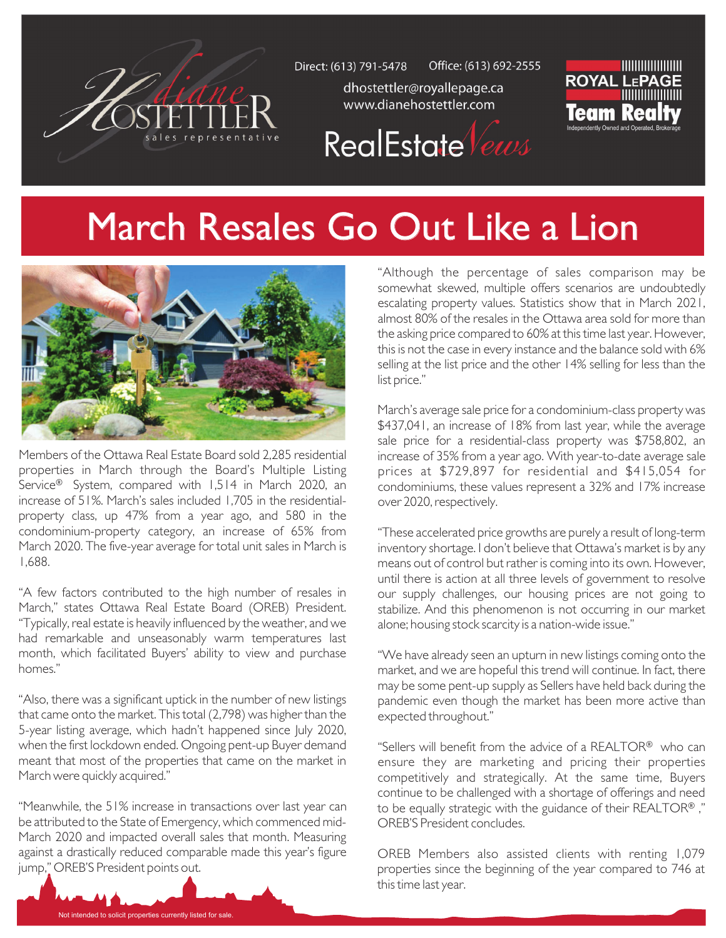

Office: (613) 692-2555 Direct: (613) 791-5478

dhostettler@royallepage.ca www.dianehostettler.com



RealEstate Vews

## March Resales Go Out Like a Lion



Members of the Ottawa Real Estate Board sold 2,285 residential properties in March through the Board's Multiple Listing Service® System, compared with 1,514 in March 2020, an increase of 51%. March's sales included 1,705 in the residentialproperty class, up 47% from a year ago, and 580 in the condominium-property category, an increase of 65% from March 2020. The five-year average for total unit sales in March is 1,688.

"A few factors contributed to the high number of resales in March," states Ottawa Real Estate Board (OREB) President. "Typically, real estate is heavily influenced by the weather, and we had remarkable and unseasonably warm temperatures last month, which facilitated Buyers' ability to view and purchase homes."

"Also, there was a significant uptick in the number of new listings that came onto the market. This total (2,798) was higher than the 5-year listing average, which hadn't happened since July 2020, when the first lockdown ended. Ongoing pent-up Buyer demand meant that most of the properties that came on the market in March were quickly acquired."

"Meanwhile, the 51% increase in transactions over last year can be attributed to the State of Emergency, which commenced mid-March 2020 and impacted overall sales that month. Measuring against a drastically reduced comparable made this year's figure jump," OREB'S President points out.

Not intended to solicit properties currently listed for sale.

"Although the percentage of sales comparison may be somewhat skewed, multiple offers scenarios are undoubtedly escalating property values. Statistics show that in March 2021, almost 80% of the resales in the Ottawa area sold for more than the asking price compared to 60% at this time last year. However, this is not the case in every instance and the balance sold with 6% selling at the list price and the other 14% selling for less than the list price."

March's average sale price for a condominium-class property was \$437,041, an increase of 18% from last year, while the average sale price for a residential-class property was \$758,802, an increase of 35% from a year ago. With year-to-date average sale prices at \$729,897 for residential and \$415,054 for condominiums, these values represent a 32% and 17% increase over 2020, respectively.

"These accelerated price growths are purely a result of long-term inventory shortage. I don't believe that Ottawa's market is by any means out of control but rather is coming into its own. However, until there is action at all three levels of government to resolve our supply challenges, our housing prices are not going to stabilize. And this phenomenon is not occurring in our market alone; housing stock scarcity is a nation-wide issue."

"We have already seen an upturn in new listings coming onto the market, and we are hopeful this trend will continue. In fact, there may be some pent-up supply as Sellers have held back during the pandemic even though the market has been more active than expected throughout."

"Sellers will benefit from the advice of a REALTOR® who can ensure they are marketing and pricing their properties competitively and strategically. At the same time, Buyers continue to be challenged with a shortage of offerings and need to be equally strategic with the guidance of their REALTOR®," OREB'S President concludes.

OREB Members also assisted clients with renting 1,079 properties since the beginning of the year compared to 746 at this time last year.